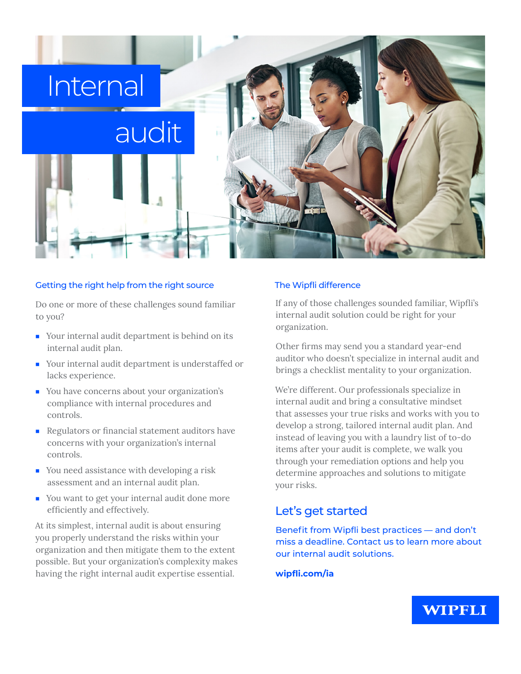

#### Getting the right help from the right source

Do one or more of these challenges sound familiar to you?

- Your internal audit department is behind on its internal audit plan.
- Your internal audit department is understaffed or lacks experience.
- You have concerns about your organization's compliance with internal procedures and controls.
- Regulators or financial statement auditors have concerns with your organization's internal controls.
- You need assistance with developing a risk assessment and an internal audit plan.
- You want to get your internal audit done more efficiently and effectively.

At its simplest, internal audit is about ensuring you properly understand the risks within your organization and then mitigate them to the extent possible. But your organization's complexity makes having the right internal audit expertise essential.

#### The Wipfli difference

If any of those challenges sounded familiar, Wipfli's internal audit solution could be right for your organization.

Other firms may send you a standard year-end auditor who doesn't specialize in internal audit and brings a checklist mentality to your organization.

We're different. Our professionals specialize in internal audit and bring a consultative mindset that assesses your true risks and works with you to develop a strong, tailored internal audit plan. And instead of leaving you with a laundry list of to-do items after your audit is complete, we walk you through your remediation options and help you determine approaches and solutions to mitigate your risks.

# Let's get started

Benefit from Wipfli best practices — and don't miss a deadline. Contact us to learn more about our internal audit solutions.

### **wipfli.com/ia**